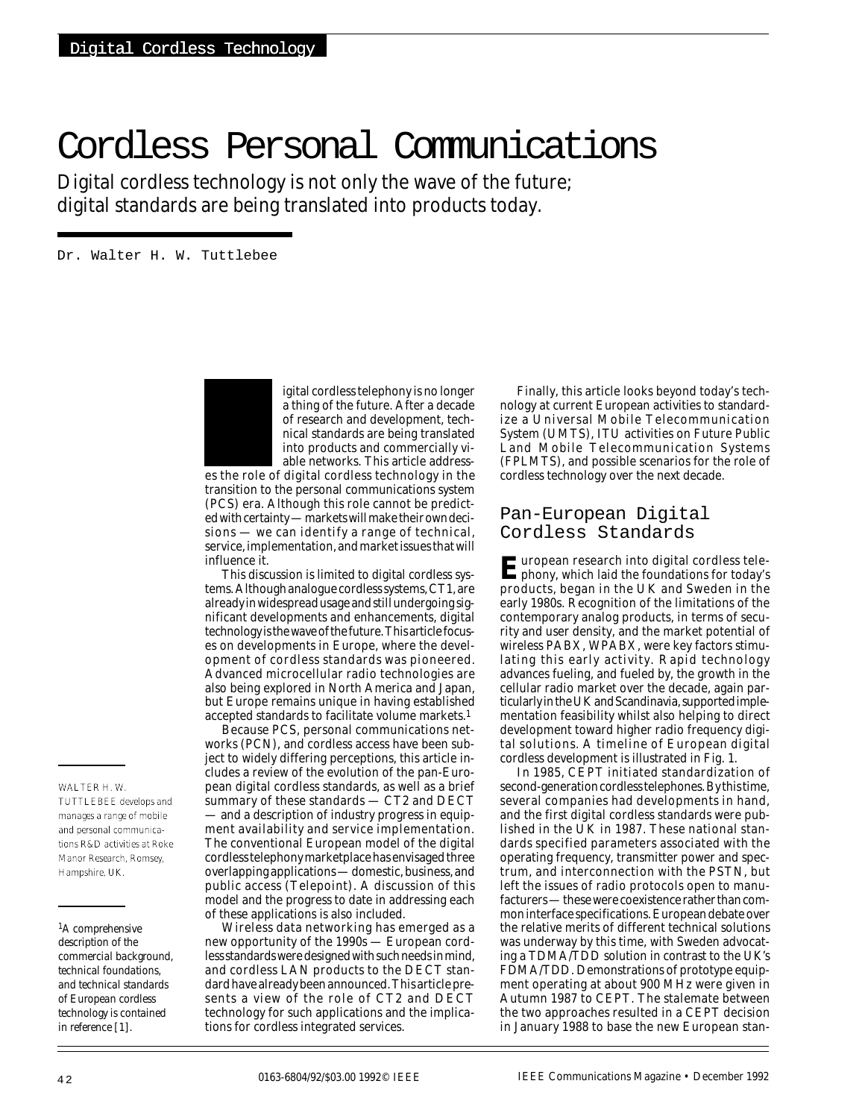# Cordless Personal Communications

Digital cordless technology is not only the wave of the future; digital standards are being translated into products today.

Dr. Walter H. W. Tuttlebee



igital cordless telephony is no longer a thing of the future. After a decade of research and development, technical standards are being translated into products and commercially viable networks. This article address-

es the role of digital cordless technology in the transition to the personal communications system (PCS) era. Although this role cannot be predicted with certainty — markets will make their own decisions — we can identify a range of technical, service, implementation, and market issues that will influence it.

This discussion is limited to digital cordless systems. Although analogue cordless systems, CT1, are already in widespread usage and still undergoing significant developments and enhancements, digital technology is the wave of the future. This article focuses on developments in Europe, where the development of cordless standards was pioneered. Advanced microcellular radio technologies are also being explored in North America and Japan, but Europe remains unique in having established accepted standards to facilitate volume markets.1

Because PCS, personal communications networks (PCN), and cordless access have been subject to widely differing perceptions, this article includes a review of the evolution of the pan-European digital cordless standards, as well as a brief summary of these standards — CT2 and DECT — and a description of industry progress in equipment availability and service implementation. The conventional European model of the digital cordless telephony marketplace has envisaged three overlapping applications — domestic, business, and public access (Telepoint). A discussion of this model and the progress to date in addressing each of these applications is also included.

Wireless data networking has emerged as a new opportunity of the 1990s — European cordless standards were designed with such needs in mind, and cordless LAN products to the DECT standard have already been announced. This article presents a view of the role of CT2 and DECT technology for such applications and the implications for cordless integrated services.

Finally, this article looks beyond today's technology at current European activities to standardize a Universal Mobile Telecommunication System (UMTS), ITU activities on Future Public Land Mobile Telecommunication Systems (FPLMTS), and possible scenarios for the role of cordless technology over the next decade.

## Pan-European Digital Cordless Standards

*E*uropean research into digital cordless tele-phony, which laid the foundations for today's products, began in the UK and Sweden in the early 1980s. Recognition of the limitations of the contemporary analog products, in terms of security and user density, and the market potential of wireless PABX, WPABX, were key factors stimulating this early activity. Rapid technology advances fueling, and fueled by, the growth in the cellular radio market over the decade, again particularly in the UK and Scandinavia, supported implementation feasibility whilst also helping to direct development toward higher radio frequency digital solutions. A timeline of European digital cordless development is illustrated in Fig. 1.

In 1985, CEPT initiated standardization of second-generation cordless telephones. By this time, several companies had developments in hand, and the first digital cordless standards were published in the UK in 1987. These national standards specified parameters associated with the operating frequency, transmitter power and spectrum, and interconnection with the PSTN, but left the issues of radio protocols open to manufacturers — these were coexistence rather than common interface specifications. European debate over the relative merits of different technical solutions was underway by this time, with Sweden advocating a TDMA/TDD solution in contrast to the UK's FDMA/TDD. Demonstrations of prototype equipment operating at about 900 MHz were given in Autumn 1987 to CEPT. The stalemate between the two approaches resulted in a CEPT decision in January 1988 to base the new European stan-

## *WALTER H. W.*

*TUTTLEBEE develops and manages a range of mobile and personal communications R&D activities at Roke Manor Research, Romsey, Hampshire, UK.*

*1A comprehensive description of the commercial background, technical foundations, and technical standards of European cordless technology is contained in reference [1].*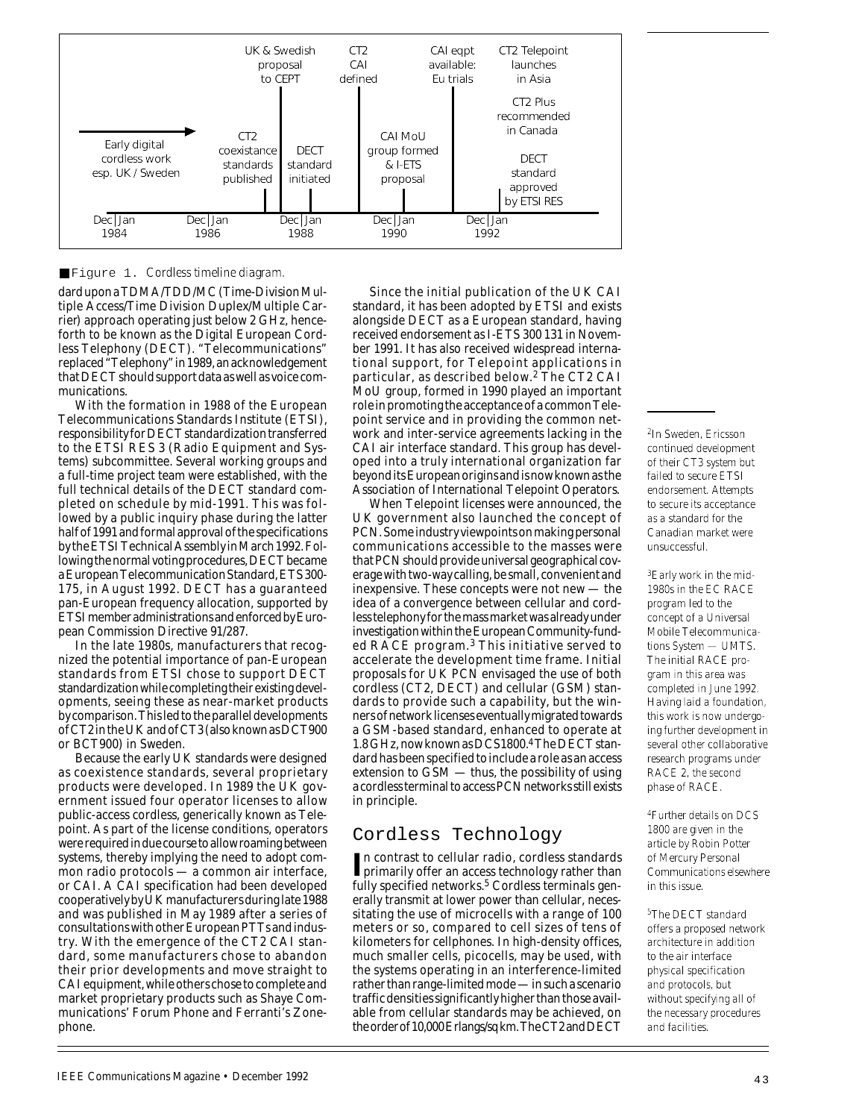

### ■ Figure 1. *Cordless timeline diagram.*

dard upon a TDMA/TDD/MC (Time-Division Multiple Access/Time Division Duplex/Multiple Carrier) approach operating just below 2 GHz, henceforth to be known as the Digital European Cordless Telephony (DECT). "Telecommunications" replaced "Telephony" in 1989, an acknowledgement that DECT should support data as well as voice communications.

With the formation in 1988 of the European Telecommunications Standards Institute (ETSI), responsibility for DECT standardization transferred to the ETSI RES 3 (Radio Equipment and Systems) subcommittee. Several working groups and a full-time project team were established, with the full technical details of the DECT standard completed on schedule by mid-1991. This was followed by a public inquiry phase during the latter half of 1991 and formal approval of the specifications by the ETSI Technical Assembly in March 1992. Following the normal voting procedures, DECT became a European Telecommunication Standard, ETS 300- 175, in August 1992. DECT has a guaranteed pan-European frequency allocation, supported by ETSI member administrations and enforced by European Commission Directive 91/287.

In the late 1980s, manufacturers that recognized the potential importance of pan-European standards from ETSI chose to support DECT standardization while completing their existing developments, seeing these as near-market products by comparison. This led to the parallel developments of CT2 in the UK and of CT3 (also known as DCT900 or BCT900) in Sweden.

Because the early UK standards were designed as coexistence standards, several proprietary products were developed. In 1989 the UK government issued four operator licenses to allow public-access cordless, generically known as Telepoint. As part of the license conditions, operators were required in due course to allow roaming between systems, thereby implying the need to adopt common radio protocols — a common air interface, or CAI. A CAI specification had been developed cooperatively by UK manufacturers during late 1988 and was published in May 1989 after a series of consultations with other European PTTs and industry. With the emergence of the CT2 CAI standard, some manufacturers chose to abandon their prior developments and move straight to CAI equipment, while others chose to complete and market proprietary products such as Shaye Communications' Forum Phone and Ferranti's Zonephone.

Since the initial publication of the UK CAI standard, it has been adopted by ETSI and exists alongside DECT as a European standard, having received endorsement as I-ETS 300 131 in November 1991. It has also received widespread international support, for Telepoint applications in particular, as described below.2 The CT2 CAI MoU group, formed in 1990 played an important role in promoting the acceptance of a common Telepoint service and in providing the common network and inter-service agreements lacking in the CAI air interface standard. This group has developed into a truly international organization far beyond its European origins and is now known as the Association of International Telepoint Operators.

When Telepoint licenses were announced, the UK government also launched the concept of PCN. Some industry viewpoints on making personal communications accessible to the masses were that PCN should provide universal geographical coverage with two-way calling, be small, convenient and inexpensive. These concepts were not new — the idea of a convergence between cellular and cordless telephony for the mass market was already under investigation within the European Community-funded RACE program.3 This initiative served to accelerate the development time frame. Initial proposals for UK PCN envisaged the use of both cordless (CT2, DECT) and cellular (GSM) standards to provide such a capability, but the winners of network licenses eventually migrated towards a GSM-based standard, enhanced to operate at 1.8 GHz, now known as DCS1800.4The DECT standard has been specified to include a role as an access extension to GSM — thus, the possibility of using a cordless terminal to access PCN networks still exists in principle.

## Cordless Technology

In contrast to cellular radio, cordless standards<br>primarily offer an access technology rather than n contrast to cellular radio, cordless standards fully specified networks.<sup>5</sup> Cordless terminals generally transmit at lower power than cellular, necessitating the use of microcells with a range of 100 meters or so, compared to cell sizes of tens of kilometers for cellphones. In high-density offices, much smaller cells, picocells, may be used, with the systems operating in an interference-limited rather than range-limited mode — in such a scenario traffic densities significantly higher than those available from cellular standards may be achieved, on the order of 10,000 Erlangs/sq km. The CT2 and DECT *2In Sweden, Ericsson continued development of their CT3 system but failed to secure ETSI endorsement. Attempts to secure its acceptance as a standard for the Canadian market were unsuccessful.*

*3Early work in the mid-1980s in the EC RACE program led to the concept of a Universal Mobile Telecommunications System — UMTS. The initial RACE program in this area was completed in June 1992. Having laid a foundation, this work is now undergoing further development in several other collaborative research programs under RACE 2, the second phase of RACE.*

*4Further details on DCS 1800 are given in the article by Robin Potter of Mercury Personal Communications elsewhere in this issue.*

*5The DECT standard offers a proposed network architecture in addition to the air interface physical specification and protocols, but without specifying all of the necessary procedures and facilities.*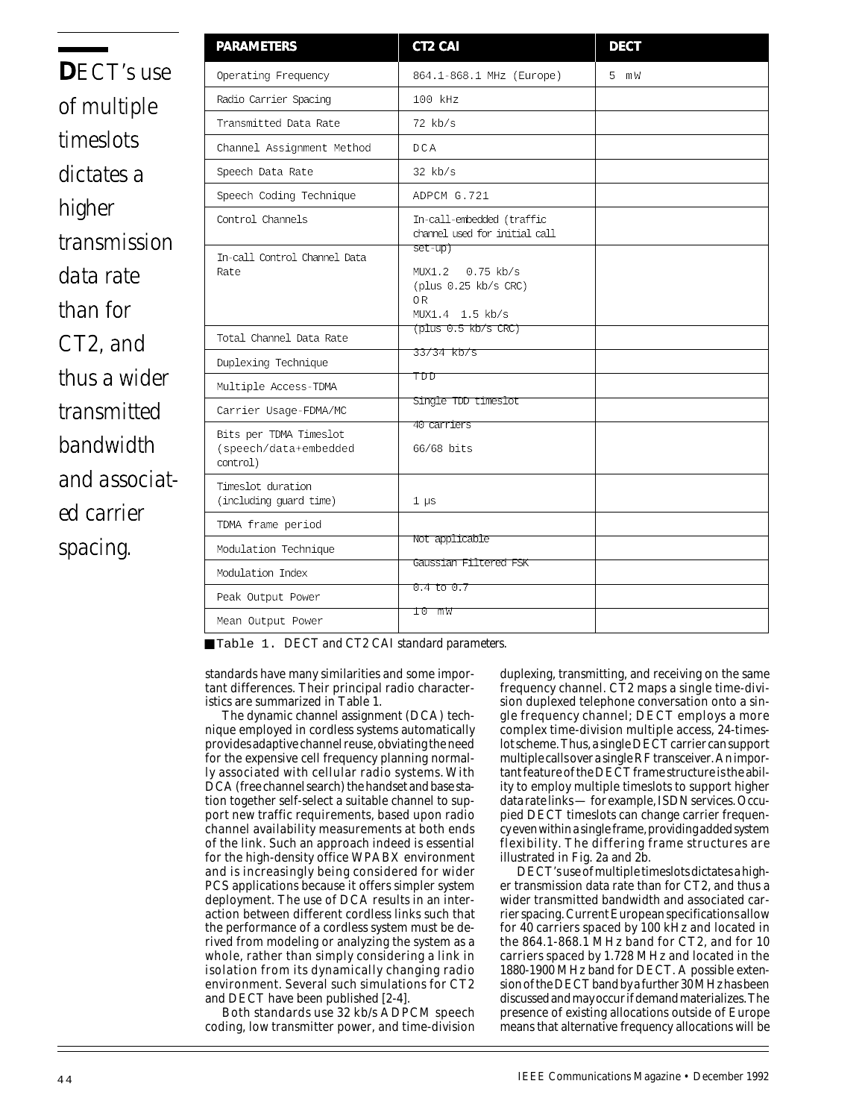**D***ECT's use of multiple timeslots dictates a higher transmission data rate than for CT2, and thus a wider transmitted bandwidth and associated carrier spacing.* 

| <b>PARAMETERS</b>                                           | CT2 CAI                                                                        | <b>DECT</b> |
|-------------------------------------------------------------|--------------------------------------------------------------------------------|-------------|
| Operating Frequency                                         | 864.1-868.1 MHz (Europe)                                                       | 5 mW        |
| Radio Carrier Spacing                                       | 100 kHz                                                                        |             |
| Transmitted Data Rate                                       | $72$ kb/s                                                                      |             |
| Channel Assignment Method                                   | DCA                                                                            |             |
| Speech Data Rate                                            | $32$ kb/s                                                                      |             |
| Speech Coding Technique                                     | ADPCM G.721                                                                    |             |
| Control Channels                                            | In-call-embedded (traffic<br>channel used for initial call                     |             |
| In-call Control Channel Data<br>Rate                        | $set-up)$<br>MUX1.2 0.75 kb/s<br>(plus 0.25 kb/s CRC)<br>0R<br>MUX1.4 1.5 kb/s |             |
| Total Channel Data Rate                                     | (plus 0.5 kb/s CRC)                                                            |             |
| Duplexing Technique                                         | 33/34 kb/s                                                                     |             |
| Multiple Access-TDMA                                        | TDD                                                                            |             |
| Carrier Usage-FDMA/MC                                       | Single TDD timeslot                                                            |             |
| Bits per TDMA Timeslot<br>(speech/data+embedded<br>control) | 40 carriers<br>66/68 bits                                                      |             |
| Timeslot duration<br>(including guard time)                 | $1 \text{ }\mu\text{s}$                                                        |             |
| TDMA frame period                                           |                                                                                |             |
| Modulation Technique                                        | Not applicable                                                                 |             |
| Modulation Index                                            | Gaussian Filtered FSK                                                          |             |
| Peak Output Power                                           | $0.4$ to $0.7$                                                                 |             |
| Mean Output Power                                           | 10 mW                                                                          |             |

■ Table 1. *DECT and CT2 CAI standard parameters.* 

standards have many similarities and some important differences. Their principal radio characteristics are summarized in Table 1.

The dynamic channel assignment (DCA) technique employed in cordless systems automatically provides adaptive channel reuse, obviating the need for the expensive cell frequency planning normally associated with cellular radio systems. With DCA (free channel search) the handset and base station together self-select a suitable channel to support new traffic requirements, based upon radio channel availability measurements at both ends of the link. Such an approach indeed is essential for the high-density office WPABX environment and is increasingly being considered for wider PCS applications because it offers simpler system deployment. The use of DCA results in an interaction between different cordless links such that the performance of a cordless system must be derived from modeling or analyzing the system as a whole, rather than simply considering a link in isolation from its dynamically changing radio environment. Several such simulations for CT2 and DECT have been published [2-4].

Both standards use 32 kb/s ADPCM speech coding, low transmitter power, and time-division

duplexing, transmitting, and receiving on the same frequency channel. CT2 maps a single time-division duplexed telephone conversation onto a single frequency channel; DECT employs a more complex time-division multiple access, 24-timeslot scheme. Thus, a single DECT carrier can support multiple calls over a single RF transceiver. An important feature of the DECT frame structure is the ability to employ multiple timeslots to support higher data rate links — for example, ISDN services. Occupied DECT timeslots can change carrier frequency even within a single frame, providing added system flexibility. The differing frame structures are illustrated in Fig. 2a and 2b.

DECT's use of multiple timeslots dictates a higher transmission data rate than for CT2, and thus a wider transmitted bandwidth and associated carrier spacing. Current European specifications allow for 40 carriers spaced by 100 kHz and located in the 864.1-868.1 MHz band for CT2, and for 10 carriers spaced by 1.728 MHz and located in the 1880-1900 MHz band for DECT. A possible extension of the DECT band by a further 30 MHz has been discussed and may occur if demand materializes. The presence of existing allocations outside of Europe means that alternative frequency allocations will be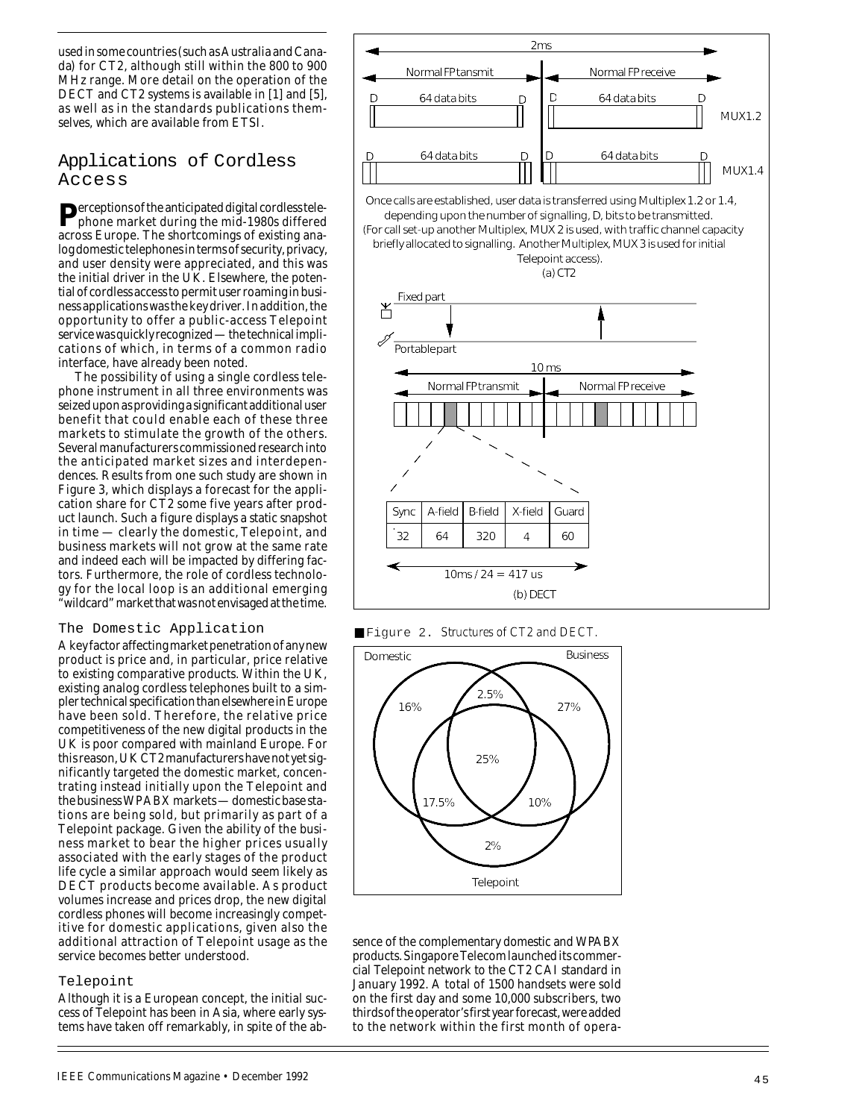used in some countries (such as Australia and Canada) for CT2, although still within the 800 to 900 MHz range. More detail on the operation of the DECT and CT2 systems is available in [1] and [5], as well as in the standards publications themselves, which are available from ETSI.

## Applications of Cordless Access

**P**erceptions of the anticipated digital cordless telephone market during the mid-1980s differed across Europe. The shortcomings of existing analog domestic telephones in terms of security, privacy, and user density were appreciated, and this was the initial driver in the UK. Elsewhere, the potential of cordless access to permit user roaming in business applications was the key driver. In addition, the opportunity to offer a public-access Telepoint service was quickly recognized — the technical implications of which, in terms of a common radio interface, have already been noted.

The possibility of using a single cordless telephone instrument in all three environments was seized upon as providing a significant additional user benefit that could enable each of these three markets to stimulate the growth of the others. Several manufacturers commissioned research into the anticipated market sizes and interdependences. Results from one such study are shown in Figure 3, which displays a forecast for the application share for CT2 some five years after product launch. Such a figure displays a static snapshot in time — clearly the domestic, Telepoint, and business markets will not grow at the same rate and indeed each will be impacted by differing factors. Furthermore, the role of cordless technology for the local loop is an additional emerging "wildcard" market that was not envisaged at the time.

## The Domestic Application

A key factor affecting market penetration of any new product is price and, in particular, price relative to existing comparative products. Within the UK, existing analog cordless telephones built to a simpler technical specification than elsewhere in Europe have been sold. Therefore, the relative price competitiveness of the new digital products in the UK is poor compared with mainland Europe. For this reason, UK CT2 manufacturers have not yet significantly targeted the domestic market, concentrating instead initially upon the Telepoint and the business WPABX markets — domestic base stations are being sold, but primarily as part of a Telepoint package. Given the ability of the business market to bear the higher prices usually associated with the early stages of the product life cycle a similar approach would seem likely as DECT products become available. As product volumes increase and prices drop, the new digital cordless phones will become increasingly competitive for domestic applications, given also the additional attraction of Telepoint usage as the service becomes better understood.

## Telepoint

Although it is a European concept, the initial success of Telepoint has been in Asia, where early systems have taken off remarkably, in spite of the ab-







sence of the complementary domestic and WPABX products. Singapore Telecom launched its commercial Telepoint network to the CT2 CAI standard in January 1992. A total of 1500 handsets were sold on the first day and some 10,000 subscribers, two thirds of the operator's first year forecast, were added to the network within the first month of opera-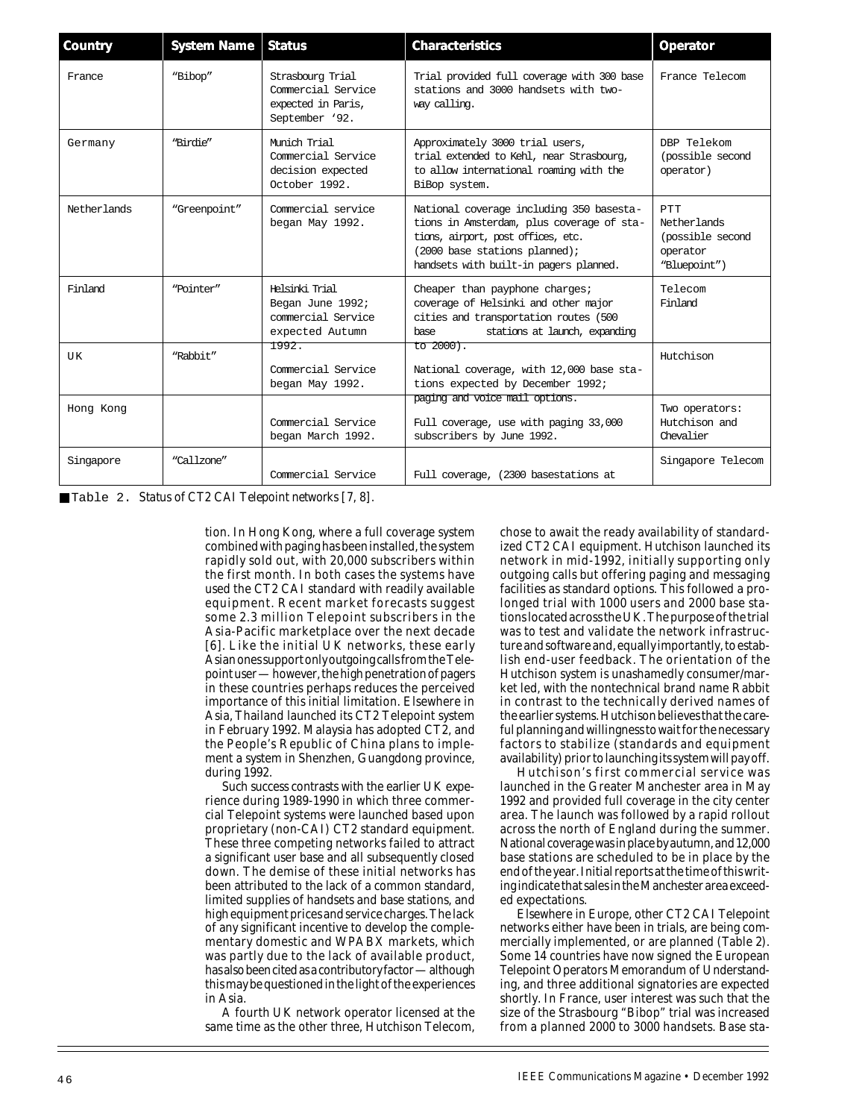| Country     | <b>System Name</b> | <b>Status</b>                                                                  | <b>Characteristics</b>                                                                                                                                                                                 | Operator                                                                  |
|-------------|--------------------|--------------------------------------------------------------------------------|--------------------------------------------------------------------------------------------------------------------------------------------------------------------------------------------------------|---------------------------------------------------------------------------|
| France      | "Bibop"            | Strasbourg Trial<br>Commercial Service<br>expected in Paris,<br>September '92. | Trial provided full coverage with 300 base<br>stations and 3000 handsets with two-<br>way calling.                                                                                                     | France Telecom                                                            |
| Germany     | "Birdie"           | Mimich Trial<br>Commercial Service<br>decision expected<br>October 1992.       | Approximately 3000 trial users,<br>trial extended to Kehl, near Strasbourg,<br>to allow international roaming with the<br>BiBop system.                                                                | DBP Telekom<br>(possible second<br>operator)                              |
| Netherlands | "Greenpoint"       | Commercial service<br>began May 1992.                                          | National coverage including 350 basesta-<br>tions in Amsterdam, plus coverage of sta-<br>tions, airport, post offices, etc.<br>(2000 base stations planned);<br>handsets with built-in pagers planned. | <b>PTT</b><br>Netherlands<br>(possible second<br>operator<br>"Bluepoint") |
| Finland     | "Pointer"          | Helsinki Trial<br>Began June 1992;<br>commercial Service<br>expected Autumn    | Cheaper than payphone charges;<br>coverage of Helsinki and other major<br>cities and transportation routes (500<br>stations at launch, expanding<br>base.                                              | Telecom<br>Finland                                                        |
| UK          | "Rabbit"           | 1992.<br>Commercial Service<br>began May 1992.                                 | to 2000).<br>National coverage, with 12,000 base sta-<br>tions expected by December 1992;                                                                                                              | Hutchison                                                                 |
| Hong Kong   |                    | Commercial Service<br>began March 1992.                                        | paging and voice mail options.<br>Full coverage, use with paging 33,000<br>subscribers by June 1992.                                                                                                   | Two operators:<br>Hutchison and<br>Chevalier                              |
| Singapore   | "Callzone"         | Commercial Service                                                             | Full coverage, (2300 basestations at                                                                                                                                                                   | Singapore Telecom                                                         |

■ Table 2. *Status of CT2 CAI Telepoint networks [7, 8]*.

tion. In Hong Kong, where a full coverage system combined with paging has been installed, the system rapidly sold out, with 20,000 subscribers within the first month. In both cases the systems have used the CT2 CAI standard with readily available equipment. Recent market forecasts suggest some 2.3 million Telepoint subscribers in the Asia-Pacific marketplace over the next decade [6]. Like the initial UK networks, these early Asian ones support only outgoing calls from the Telepoint user — however, the high penetration of pagers in these countries perhaps reduces the perceived importance of this initial limitation. Elsewhere in Asia, Thailand launched its CT2 Telepoint system in February 1992. Malaysia has adopted CT2, and the People's Republic of China plans to implement a system in Shenzhen, Guangdong province, during 1992.

Such success contrasts with the earlier UK experience during 1989-1990 in which three commercial Telepoint systems were launched based upon proprietary (non-CAI) CT2 standard equipment. These three competing networks failed to attract a significant user base and all subsequently closed down. The demise of these initial networks has been attributed to the lack of a common standard, limited supplies of handsets and base stations, and high equipment prices and service charges. The lack of any significant incentive to develop the complementary domestic and WPABX markets, which was partly due to the lack of available product, has also been cited as a contributory factor — although this may be questioned in the light of the experiences in Asia.

A fourth UK network operator licensed at the same time as the other three, Hutchison Telecom,

chose to await the ready availability of standardized CT2 CAI equipment. Hutchison launched its network in mid-1992, initially supporting only outgoing calls but offering paging and messaging facilities as standard options. This followed a prolonged trial with 1000 users and 2000 base stations located across the UK. The purpose of the trial was to test and validate the network infrastructure and software and, equally importantly, to establish end-user feedback. The orientation of the Hutchison system is unashamedly consumer/market led, with the nontechnical brand name Rabbit in contrast to the technically derived names of the earlier systems. Hutchison believes that the careful planning and willingness to wait for the necessary factors to stabilize (standards and equipment availability) prior to launching its system will pay off.

Hutchison's first commercial service was launched in the Greater Manchester area in May 1992 and provided full coverage in the city center area. The launch was followed by a rapid rollout across the north of England during the summer. National coverage was in place by autumn, and 12,000 base stations are scheduled to be in place by the end of the year. Initial reports at the time of this writing indicate that sales in the Manchester area exceeded expectations.

Elsewhere in Europe, other CT2 CAI Telepoint networks either have been in trials, are being commercially implemented, or are planned (Table 2). Some 14 countries have now signed the European Telepoint Operators Memorandum of Understanding, and three additional signatories are expected shortly. In France, user interest was such that the size of the Strasbourg "Bibop" trial was increased from a planned 2000 to 3000 handsets. Base sta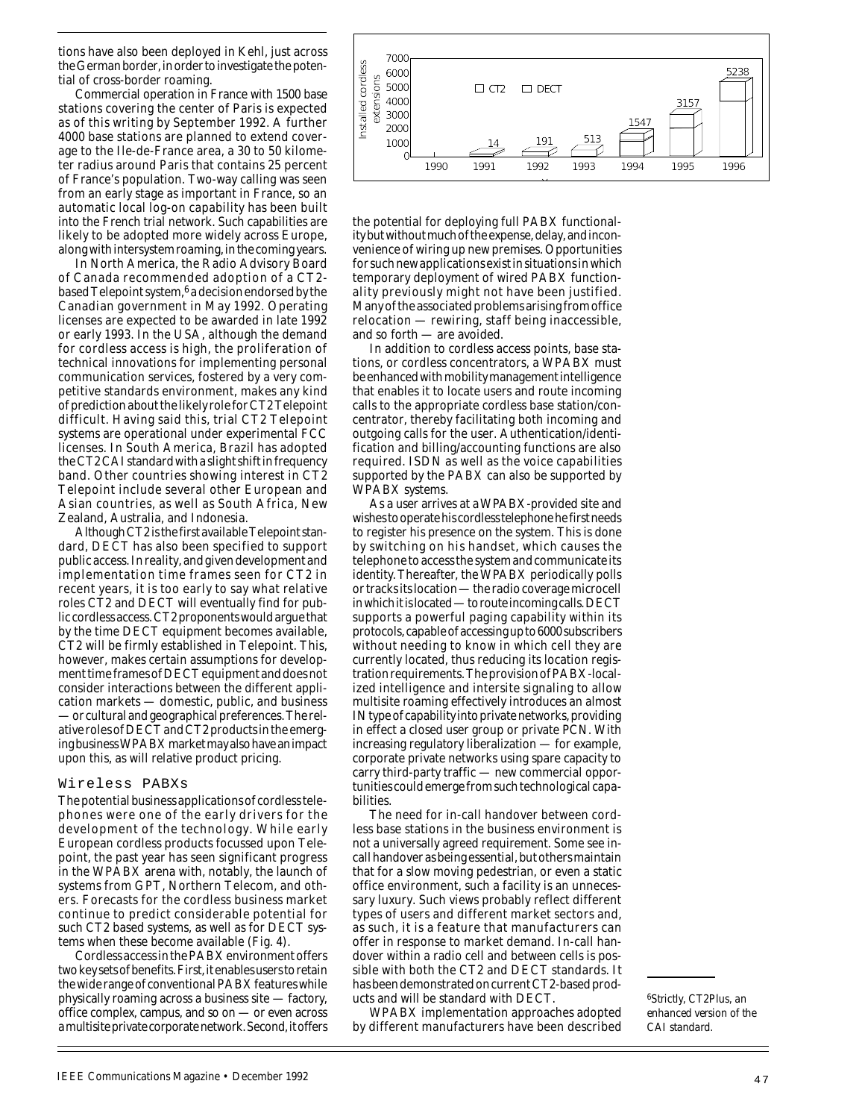tions have also been deployed in Kehl, just across the German border, in order to investigate the potential of cross-border roaming.

Commercial operation in France with 1500 base stations covering the center of Paris is expected as of this writing by September 1992. A further 4000 base stations are planned to extend coverage to the Ile-de-France area, a 30 to 50 kilometer radius around Paris that contains 25 percent of France's population. Two-way calling was seen from an early stage as important in France, so an automatic local log-on capability has been built into the French trial network. Such capabilities are likely to be adopted more widely across Europe, along with intersystem roaming, in the coming years.

In North America, the Radio Advisory Board of Canada recommended adoption of a CT2 based Telepoint system, $6$  a decision endorsed by the Canadian government in May 1992. Operating licenses are expected to be awarded in late 1992 or early 1993. In the USA, although the demand for cordless access is high, the proliferation of technical innovations for implementing personal communication services, fostered by a very competitive standards environment, makes any kind of prediction about the likely role for CT2 Telepoint difficult. Having said this, trial CT2 Telepoint systems are operational under experimental FCC licenses. In South America, Brazil has adopted the CT2 CAI standard with a slight shift in frequency band. Other countries showing interest in CT2 Telepoint include several other European and Asian countries, as well as South Africa, New Zealand, Australia, and Indonesia.

Although CT2 is the first available Telepoint standard, DECT has also been specified to support public access. In reality, and given development and implementation time frames seen for CT2 in recent years, it is too early to say what relative roles CT2 and DECT will eventually find for public cordless access. CT2 proponents would argue that by the time DECT equipment becomes available, CT2 will be firmly established in Telepoint. This, however, makes certain assumptions for development time frames of DECT equipment and does not consider interactions between the different application markets — domestic, public, and business — or cultural and geographical preferences. The relative roles of DECT and CT2 products in the emerging business WPABX market may also have an impact upon this, as will relative product pricing.

#### Wireless PABXs

The potential business applications of cordless telephones were one of the early drivers for the development of the technology. While early European cordless products focussed upon Telepoint, the past year has seen significant progress in the WPABX arena with, notably, the launch of systems from GPT, Northern Telecom, and others. Forecasts for the cordless business market continue to predict considerable potential for such CT2 based systems, as well as for DECT systems when these become available (Fig. 4).

Cordless access in the PABX environment offers two key sets of benefits. First, it enables users to retain the wide range of conventional PABX features while physically roaming across a business site — factory, office complex, campus, and so on — or even across a multisite private corporate network. Second, it offers



the potential for deploying full PABX functionality but without much of the expense, delay, and inconvenience of wiring up new premises. Opportunities for such new applications exist in situations in which temporary deployment of wired PABX functionality previously might not have been justified. Many of the associated problems arising from office relocation — rewiring, staff being inaccessible, and so forth — are avoided.

In addition to cordless access points, base stations, or cordless concentrators, a WPABX must be enhanced with mobility management intelligence that enables it to locate users and route incoming calls to the appropriate cordless base station/concentrator, thereby facilitating both incoming and outgoing calls for the user. Authentication/identification and billing/accounting functions are also required. ISDN as well as the voice capabilities supported by the PABX can also be supported by WPABX systems.

As a user arrives at aWPABX-provided site and wishes to operate his cordless telephone he first needs to register his presence on the system. This is done by switching on his handset, which causes the telephone to access the system and communicate its identity. Thereafter, the WPABX periodically polls or tracks its location — the radio coverage microcell in which it is located — to route incoming calls. DECT supports a powerful paging capability within its protocols, capable of accessing up to 6000 subscribers without needing to know in which cell they are currently located, thus reducing its location registration requirements. The provision of PABX-localized intelligence and intersite signaling to allow multisite roaming effectively introduces an almost IN type of capability into private networks, providing in effect a closed user group or private PCN. With increasing regulatory liberalization — for example, corporate private networks using spare capacity to carry third-party traffic — new commercial opportunities could emerge from such technological capabilities.

The need for in-call handover between cordless base stations in the business environment is not a universally agreed requirement. Some see incall handover as being essential, but others maintain that for a slow moving pedestrian, or even a static office environment, such a facility is an unnecessary luxury. Such views probably reflect different types of users and different market sectors and, as such, it is a feature that manufacturers can offer in response to market demand. In-call handover within a radio cell and between cells is possible with both the CT2 and DECT standards. It has been demonstrated on current CT2-based products and will be standard with DECT.

WPABX implementation approaches adopted by different manufacturers have been described

*6Strictly, CT2Plus, an enhanced version of the CAI standard.*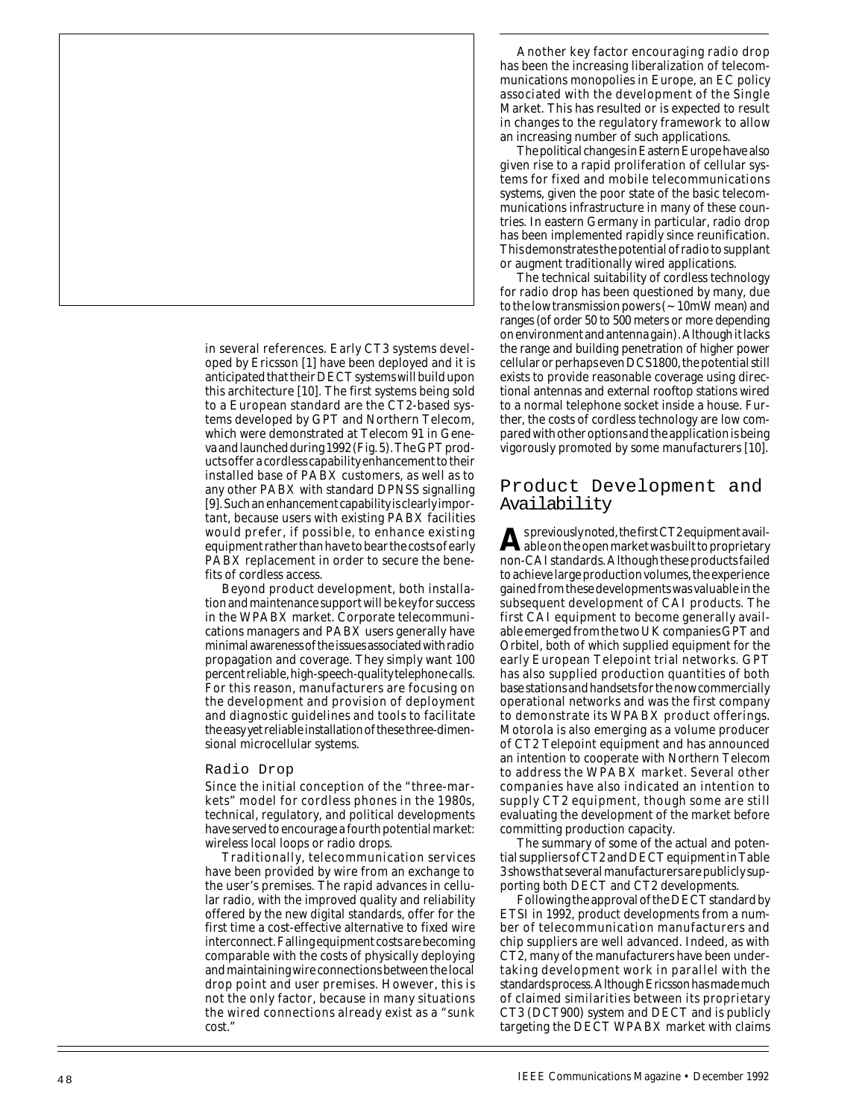in several references. Early CT3 systems developed by Ericsson [1] have been deployed and it is anticipated that their DECT systems will build upon this architecture [10]. The first systems being sold to a European standard are the CT2-based systems developed by GPT and Northern Telecom, which were demonstrated at Telecom 91 in Geneva and launched during 1992 (Fig. 5). The GPT products offer a cordless capability enhancement to their installed base of PABX customers, as well as to any other PABX with standard DPNSS signalling [9]. Such an enhancement capability is clearly important, because users with existing PABX facilities would prefer, if possible, to enhance existing equipment rather than have to bear the costs of early PABX replacement in order to secure the benefits of cordless access.

Beyond product development, both installation and maintenance support will be key for success in the WPABX market. Corporate telecommunications managers and PABX users generally have minimal awareness of the issues associated with radio propagation and coverage. They simply want 100 percent reliable, high-speech-quality telephone calls. For this reason, manufacturers are focusing on the development and provision of deployment and diagnostic guidelines and tools to facilitate the easy yet reliable installation of these three-dimensional microcellular systems.

#### Radio Drop

Since the initial conception of the "three-markets" model for cordless phones in the 1980s, technical, regulatory, and political developments have served to encourage a fourth potential market: wireless local loops or radio drops.

Traditionally, telecommunication services have been provided by wire from an exchange to the user's premises. The rapid advances in cellular radio, with the improved quality and reliability offered by the new digital standards, offer for the first time a cost-effective alternative to fixed wire interconnect. Falling equipment costs are becoming comparable with the costs of physically deploying and maintaining wire connections between the local drop point and user premises. However, this is not the only factor, because in many situations the wired connections already exist as a "sunk cost."

Another key factor encouraging radio drop has been the increasing liberalization of telecommunications monopolies in Europe, an EC policy associated with the development of the Single Market. This has resulted or is expected to result in changes to the regulatory framework to allow an increasing number of such applications.

The political changes in Eastern Europe have also given rise to a rapid proliferation of cellular systems for fixed and mobile telecommunications systems, given the poor state of the basic telecommunications infrastructure in many of these countries. In eastern Germany in particular, radio drop has been implemented rapidly since reunification. This demonstrates the potential of radio to supplant or augment traditionally wired applications.

The technical suitability of cordless technology for radio drop has been questioned by many, due to the low transmission powers  $(-10mW$  mean) and ranges (of order 50 to 500 meters or more depending on environment and antenna gain). Although it lacks the range and building penetration of higher power cellular or perhaps even DCS1800, the potential still exists to provide reasonable coverage using directional antennas and external rooftop stations wired to a normal telephone socket inside a house. Further, the costs of cordless technology are low compared with other options and the application is being vigorously promoted by some manufacturers [10].

## Product Development and Availability

**A** spreviously noted, the first CT2 equipment available on the open market was built to proprietary non-CAI standards. Although these products failed to achieve large production volumes, the experience gained from these developments was valuable in the subsequent development of CAI products. The first CAI equipment to become generally available emerged from the two UK companies GPT and Orbitel, both of which supplied equipment for the early European Telepoint trial networks. GPT has also supplied production quantities of both base stations and handsets for the now commercially operational networks and was the first company to demonstrate its WPABX product offerings. Motorola is also emerging as a volume producer of CT2 Telepoint equipment and has announced an intention to cooperate with Northern Telecom to address the WPABX market. Several other companies have also indicated an intention to supply CT2 equipment, though some are still evaluating the development of the market before committing production capacity.

The summary of some of the actual and potential suppliers of CT2 and DECT equipment in Table 3 shows that several manufacturers are publicly supporting both DECT and CT2 developments.

Following the approval of the DECT standard by ETSI in 1992, product developments from a number of telecommunication manufacturers and chip suppliers are well advanced. Indeed, as with CT2, many of the manufacturers have been undertaking development work in parallel with the standards process. Although Ericsson has made much of claimed similarities between its proprietary CT3 (DCT900) system and DECT and is publicly targeting the DECT WPABX market with claims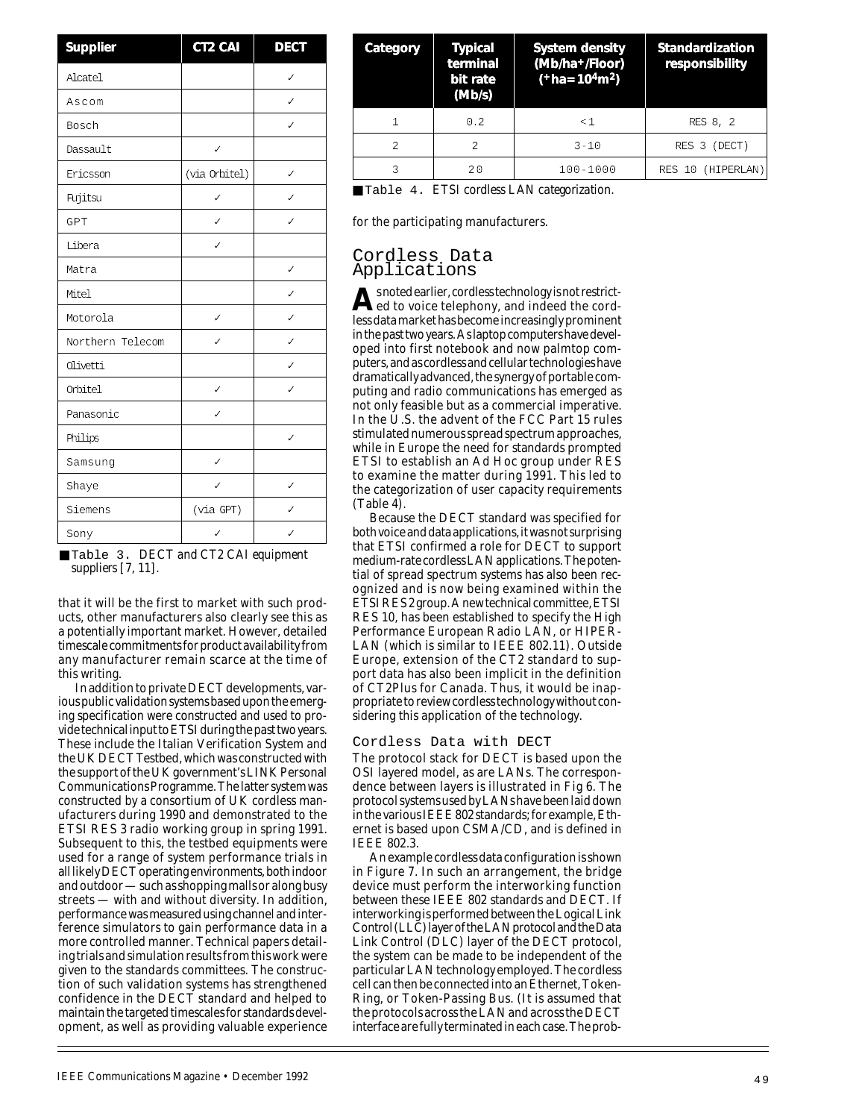| Supplier         | CT2 CAI        | <b>DECT</b> |
|------------------|----------------|-------------|
| Alcatel          |                |             |
| Ascom            |                | J           |
| Bosch            |                |             |
| Dassault         | ✓              |             |
| Ericsson         | (via Orbitel)  | ✓           |
| Fujitsu          | J              |             |
| GPT              | ✓              |             |
| Libera           |                |             |
| Matra            |                | ✓           |
| Mitel            |                |             |
| Motorola         |                |             |
| Northern Telecom |                |             |
| Olivetti         |                |             |
| Orbitel          |                |             |
| Panasonic        |                |             |
| Philips          |                |             |
| Samsung          | ✓              |             |
| Shaye            |                |             |
| Siemens          | $(via$ GPT $)$ |             |
| Sony             |                |             |

|                       | Table 3. DECT and CT2 CAI equipment |  |
|-----------------------|-------------------------------------|--|
| suppliers $[7, 11]$ . |                                     |  |

that it will be the first to market with such products, other manufacturers also clearly see this as a potentially important market. However, detailed timescale commitments for product availability from any manufacturer remain scarce at the time of this writing.

In addition to private DECT developments, various public validation systems based upon the emerging specification were constructed and used to provide technical input to ETSI during the past two years. These include the Italian Verification System and the UK DECT Testbed, which was constructed with the support of the UK government's LINK Personal Communications Programme. The latter system was constructed by a consortium of UK cordless manufacturers during 1990 and demonstrated to the ETSI RES 3 radio working group in spring 1991. Subsequent to this, the testbed equipments were used for a range of system performance trials in all likely DECT operating environments, both indoor and outdoor — such as shopping malls or along busy streets — with and without diversity. In addition, performance was measured using channel and interference simulators to gain performance data in a more controlled manner. Technical papers detailing trials and simulation results from this work were given to the standards committees. The construction of such validation systems has strengthened confidence in the DECT standard and helped to maintain the targeted timescales for standards development, as well as providing valuable experience

| Category       | <b>Typical</b><br>terminal<br>bit rate<br>(Mb/s) | System density<br>(Mb/ha+/Floor)<br>$(*ha=104m2)$ | Standardization<br>responsibility |
|----------------|--------------------------------------------------|---------------------------------------------------|-----------------------------------|
|                | 0.2                                              | $\leq 1$                                          | RES 8, 2                          |
| $\mathfrak{D}$ | 2                                                | $3 - 10$                                          | (DECT)<br>RES 3                   |
|                | 20                                               | $100 - 1000$                                      | RES 10 (HIPERLAN)                 |

■ Table 4. *ETSI cordless LAN categorization.*

for the participating manufacturers.

## Cordless Data Applications

**A** snoted earlier, cordless technology is not restrictless data market has become increasingly prominent in the past two years. As laptop computers have developed into first notebook and now palmtop computers, and as cordless and cellular technologies have dramatically advanced, the synergy of portable computing and radio communications has emerged as not only feasible but as a commercial imperative. In the U.S. the advent of the FCC Part 15 rules stimulated numerous spread spectrum approaches, while in Europe the need for standards prompted ETSI to establish an Ad Hoc group under RES to examine the matter during 1991. This led to the categorization of user capacity requirements (Table 4).

Because the DECT standard was specified for both voice and data applications, it was not surprising that ETSI confirmed a role for DECT to support medium-rate cordless LAN applications. The potential of spread spectrum systems has also been recognized and is now being examined within the ETSI RES 2 group. A new technical committee, ETSI RES 10, has been established to specify the High Performance European Radio LAN, or HIPER-LAN (which is similar to IEEE 802.11). Outside Europe, extension of the CT2 standard to support data has also been implicit in the definition of CT2Plus for Canada. Thus, it would be inappropriate to review cordless technology without considering this application of the technology.

#### Cordless Data with DECT

The protocol stack for DECT is based upon the OSI layered model, as are LANs. The correspondence between layers is illustrated in Fig 6. The protocol systems used by LANs have been laid down in the various IEEE 802 standards; for example, Ethernet is based upon CSMA/CD, and is defined in IEEE 802.3.

An example cordless data configuration is shown in Figure 7. In such an arrangement, the bridge device must perform the interworking function between these IEEE 802 standards and DECT. If interworking is performed between the Logical Link Control (LLC) layer of the LAN protocol and the Data Link Control (DLC) layer of the DECT protocol, the system can be made to be independent of the particular LAN technology employed. The cordless cell can then be connected into an Ethernet, Token-Ring, or Token-Passing Bus. (It is assumed that the protocols across the LAN and across the DECT interface are fully terminated in each case. The prob-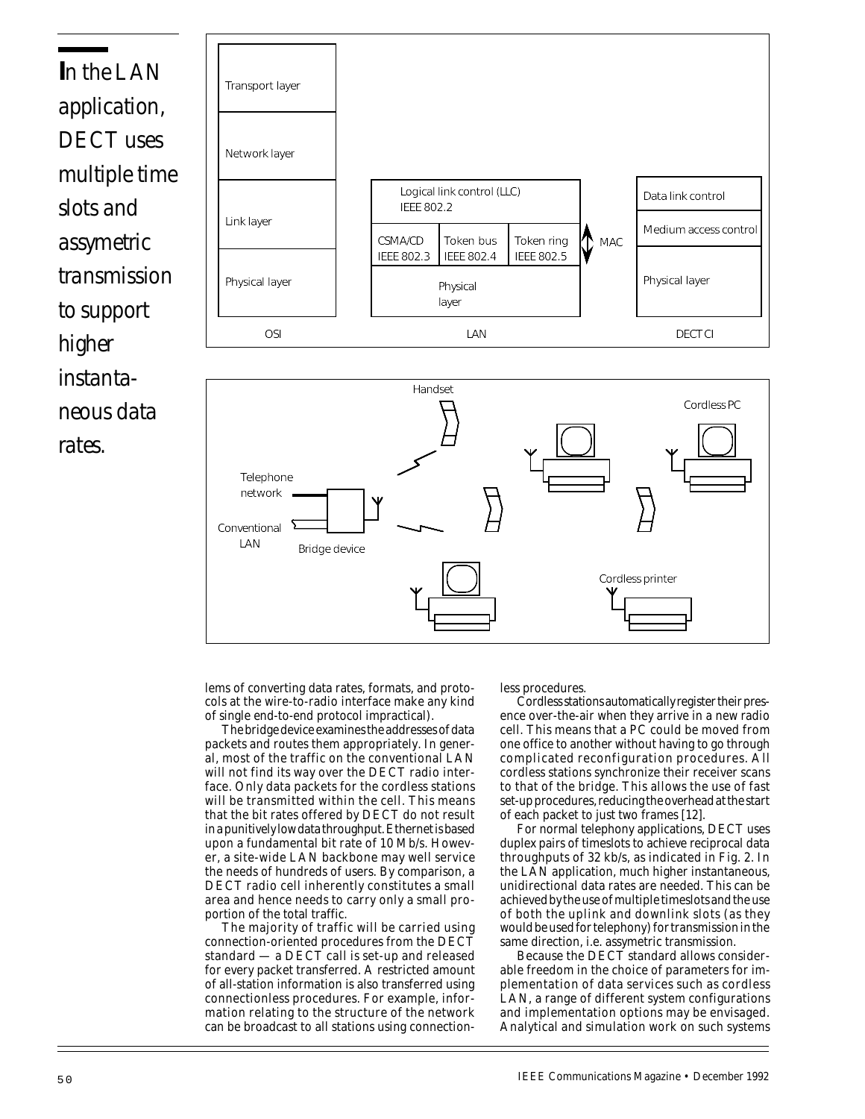



lems of converting data rates, formats, and protocols at the wire-to-radio interface make any kind of single end-to-end protocol impractical).

The bridge device examines the addresses of data packets and routes them appropriately. In general, most of the traffic on the conventional LAN will not find its way over the DECT radio interface. Only data packets for the cordless stations will be transmitted within the cell. This means that the bit rates offered by DECT do not result in a punitively low data throughput. Ethernet is based upon a fundamental bit rate of 10 Mb/s. However, a site-wide LAN backbone may well service the needs of hundreds of users. By comparison, a DECT radio cell inherently constitutes a small area and hence needs to carry only a small proportion of the total traffic.

The majority of traffic will be carried using connection-oriented procedures from the DECT standard — a DECT call is set-up and released for every packet transferred. A restricted amount of all-station information is also transferred using connectionless procedures. For example, information relating to the structure of the network can be broadcast to all stations using connectionless procedures.

Cordless stations automatically register their presence over-the-air when they arrive in a new radio cell. This means that a PC could be moved from one office to another without having to go through complicated reconfiguration procedures. All cordless stations synchronize their receiver scans to that of the bridge. This allows the use of fast set-up procedures, reducing the overhead at the start of each packet to just two frames [12].

For normal telephony applications, DECT uses duplex pairs of timeslots to achieve reciprocal data throughputs of 32 kb/s, as indicated in Fig. 2. In the LAN application, much higher instantaneous, unidirectional data rates are needed. This can be achieved by the use of multiple timeslots and the use of both the uplink and downlink slots (as they would be used for telephony) for transmission in the same direction, i.e. assymetric transmission.

Because the DECT standard allows considerable freedom in the choice of parameters for implementation of data services such as cordless LAN, a range of different system configurations and implementation options may be envisaged. Analytical and simulation work on such systems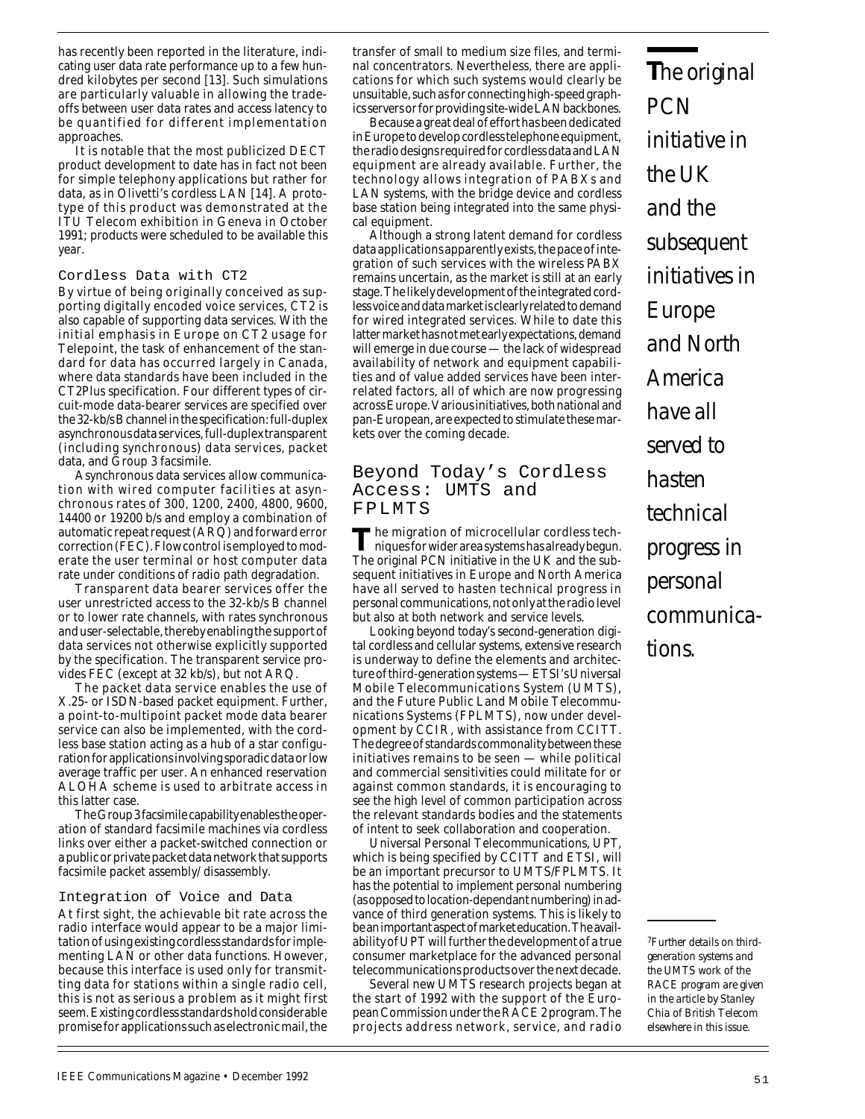has recently been reported in the literature, indicating user data rate performance up to a few hundred kilobytes per second [13]. Such simulations are particularly valuable in allowing the tradeoffs between user data rates and access latency to be quantified for different implementation approaches.

It is notable that the most publicized DECT product development to date has in fact not been for simple telephony applications but rather for data, as in Olivetti's cordless LAN [14]. A prototype of this product was demonstrated at the ITU Telecom exhibition in Geneva in October 1991; products were scheduled to be available this year.

### Cordless Data with CT2

By virtue of being originally conceived as supporting digitally encoded voice services, CT2 is also capable of supporting data services. With the initial emphasis in Europe on CT2 usage for Telepoint, the task of enhancement of the standard for data has occurred largely in Canada, where data standards have been included in the CT2Plus specification. Four different types of circuit-mode data-bearer services are specified over the 32-kb/s B channel in the specification: full-duplex asynchronous data services, full-duplex transparent (including synchronous) data services, packet data, and Group 3 facsimile.

Asynchronous data services allow communication with wired computer facilities at asynchronous rates of 300, 1200, 2400, 4800, 9600, 14400 or 19200 b/s and employ a combination of automatic repeat request (ARQ) and forward error correction (FEC). Flow control is employed to moderate the user terminal or host computer data rate under conditions of radio path degradation.

Transparent data bearer services offer the user unrestricted access to the 32-kb/s B channel or to lower rate channels, with rates synchronous and user-selectable, thereby enabling the support of data services not otherwise explicitly supported by the specification. The transparent service provides FEC (except at 32 kb/s), but not ARQ.

The packet data service enables the use of X.25- or ISDN-based packet equipment. Further, a point-to-multipoint packet mode data bearer service can also be implemented, with the cordless base station acting as a hub of a star configuration for applications involving sporadic data or low average traffic per user. An enhanced reservation ALOHA scheme is used to arbitrate access in this latter case.

The Group 3 facsimile capability enables the operation of standard facsimile machines via cordless links over either a packet-switched connection or a public or private packet data network that supports facsimile packet assembly/ disassembly.

### Integration of Voice and Data

At first sight, the achievable bit rate across the radio interface would appear to be a major limitation of using existing cordless standards for implementing LAN or other data functions. However, because this interface is used only for transmitting data for stations within a single radio cell, this is not as serious a problem as it might first seem. Existing cordless standards hold considerable promise for applications such as electronic mail, the transfer of small to medium size files, and terminal concentrators. Nevertheless, there are applications for which such systems would clearly be unsuitable, such as for connecting high-speed graphics servers or for providing site-wide LAN backbones.

Because a great deal of effort has been dedicated in Europe to develop cordless telephone equipment, the radio designs required for cordless data and LAN equipment are already available. Further, the technology allows integration of PABXs and LAN systems, with the bridge device and cordless base station being integrated into the same physical equipment.

Although a strong latent demand for cordless data applications apparently exists, the pace of integration of such services with the wireless PABX remains uncertain, as the market is still at an early stage. The likely development of the integrated cordless voice and data market is clearly related to demand for wired integrated services. While to date this latter market has not met early expectations, demand will emerge in due course — the lack of widespread availability of network and equipment capabilities and of value added services have been interrelated factors, all of which are now progressing across Europe. Various initiatives, both national and pan-European, are expected to stimulate these markets over the coming decade.

## Beyond Today's Cordless Access: UMTS and FPLMTS

The migration of microcellular cordless techniques for wider area systems has already begun. The original PCN initiative in the UK and the subsequent initiatives in Europe and North America have all served to hasten technical progress in personal communications, not only at the radio level but also at both network and service levels.

Looking beyond today's second-generation digital cordless and cellular systems, extensive research is underway to define the elements and architecture of third-generation systems — ETSI's Universal Mobile Telecommunications System (UMTS), and the Future Public Land Mobile Telecommunications Systems (FPLMTS), now under development by CCIR, with assistance from CCITT. The degree of standards commonality between these initiatives remains to be seen — while political and commercial sensitivities could militate for or against common standards, it is encouraging to see the high level of common participation across the relevant standards bodies and the statements of intent to seek collaboration and cooperation.

Universal Personal Telecommunications, UPT, which is being specified by CCITT and ETSI, will be an important precursor to UMTS/FPLMTS. It has the potential to implement personal numbering (as opposed to location-dependant numbering) in advance of third generation systems. This is likely to be an important aspect of market education. The availability of UPT will further the development of a true consumer marketplace for the advanced personal telecommunications products over the next decade.

Several new UMTS research projects began at the start of 1992 with the support of the European Commission under the RACE 2 program. The projects address network, service, and radio **T***he original PCN initiative in the UK and the subsequent initiatives in Europe and North America have all served to hasten technical progress in personal communications.*

*7Further details on thirdgeneration systems and the UMTS work of the RACE program are given in the article by Stanley Chia of British Telecom elsewhere in this issue.*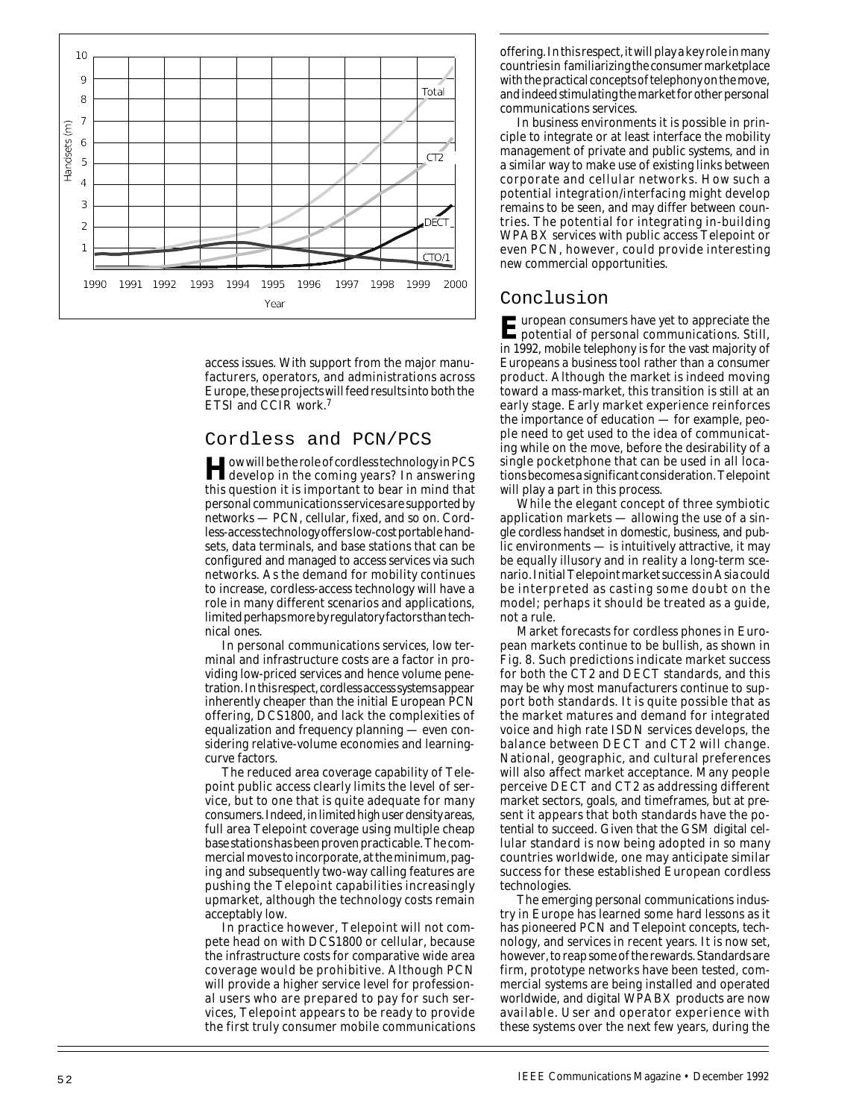

access issues. With support from the major manufacturers, operators, and administrations across Europe, these projects will feed results into both the ETSI and CCIR work.7

## Cordless and PCN/PCS

**How will be the role of cordless technology in PCS**<br>develop in the coming years? In answering this question it is important to bear in mind that personal communications services are supported by networks — PCN, cellular, fixed, and so on. Cordless-access technology offers low-cost portable handsets, data terminals, and base stations that can be configured and managed to access services via such networks. As the demand for mobility continues to increase, cordless-access technology will have a role in many different scenarios and applications, limited perhaps more by regulatory factors than technical ones.

In personal communications services, low terminal and infrastructure costs are a factor in providing low-priced services and hence volume penetration. In this respect, cordless access systems appear inherently cheaper than the initial European PCN offering, DCS1800, and lack the complexities of equalization and frequency planning — even considering relative-volume economies and learningcurve factors.

The reduced area coverage capability of Telepoint public access clearly limits the level of service, but to one that is quite adequate for many consumers. Indeed, in limited high user density areas, full area Telepoint coverage using multiple cheap base stations has been proven practicable. The commercial moves to incorporate, at the minimum, paging and subsequently two-way calling features are pushing the Telepoint capabilities increasingly upmarket, although the technology costs remain acceptably low.

In practice however, Telepoint will not compete head on with DCS1800 or cellular, because the infrastructure costs for comparative wide area coverage would be prohibitive. Although PCN will provide a higher service level for professional users who are prepared to pay for such services, Telepoint appears to be ready to provide the first truly consumer mobile communications

offering. In this respect, it will play a key role in many countries in familiarizing the consumer marketplace with the practical concepts of telephony on the move, and indeed stimulating the market for other personal communications services.

In business environments it is possible in principle to integrate or at least interface the mobility management of private and public systems, and in a similar way to make use of existing links between corporate and cellular networks. How such a potential integration/interfacing might develop remains to be seen, and may differ between countries. The potential for integrating in-building WPABX services with public access Telepoint or even PCN, however, could provide interesting new commercial opportunities.

## Conclusion

**E**uropean consumers have yet to appreciate the potential of personal communications. Still, in 1992, mobile telephony is for the vast majority of Europeans a business tool rather than a consumer product. Although the market is indeed moving toward a mass-market, this transition is still at an early stage. Early market experience reinforces the importance of education — for example, people need to get used to the idea of communicating while on the move, before the desirability of a single pocketphone that can be used in all locations becomes a significant consideration. Telepoint will play a part in this process.

While the elegant concept of three symbiotic application markets — allowing the use of a single cordless handset in domestic, business, and public environments — is intuitively attractive, it may be equally illusory and in reality a long-term scenario.Initial Telepoint market success in Asia could be interpreted as casting some doubt on the model; perhaps it should be treated as a guide, not a rule.

Market forecasts for cordless phones in European markets continue to be bullish, as shown in Fig. 8. Such predictions indicate market success for both the CT2 and DECT standards, and this may be why most manufacturers continue to support both standards. It is quite possible that as the market matures and demand for integrated voice and high rate ISDN services develops, the balance between DECT and CT2 will change. National, geographic, and cultural preferences will also affect market acceptance. Many people perceive DECT and CT2 as addressing different market sectors, goals, and timeframes, but at present it appears that both standards have the potential to succeed. Given that the GSM digital cellular standard is now being adopted in so many countries worldwide, one may anticipate similar success for these established European cordless technologies.

The emerging personal communications industry in Europe has learned some hard lessons as it has pioneered PCN and Telepoint concepts, technology, and services in recent years. It is now set, however, to reap some of the rewards. Standards are firm, prototype networks have been tested, commercial systems are being installed and operated worldwide, and digital WPABX products are now available. User and operator experience with these systems over the next few years, during the